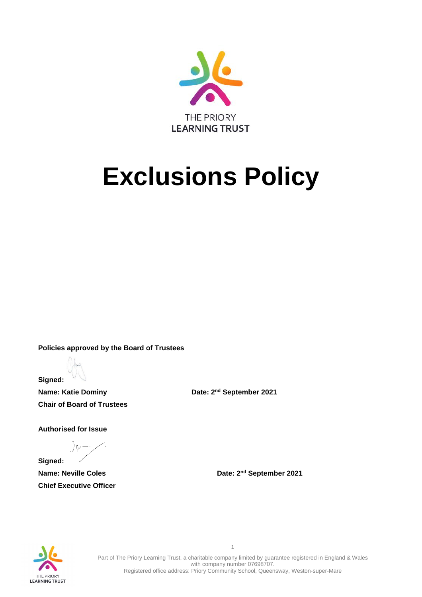

# **Exclusions Policy**

**Policies approved by the Board of Trustees**

**Signed:**

**Name: Katie Dominy Community Community Bate: 2<sup>nd</sup> September 2021 Chair of Board of Trustees** 

**Authorised for Issue**

**Signed: Chief Executive Officer**

**Name: Neville Coles Date: 2<sup>nd</sup> September 2021** 



Part of The Priory Learning Trust, a charitable company limited by guarantee registered in England & Wales with company number 07698707. Registered office address: Priory Community School, Queensway, Weston-super-Mare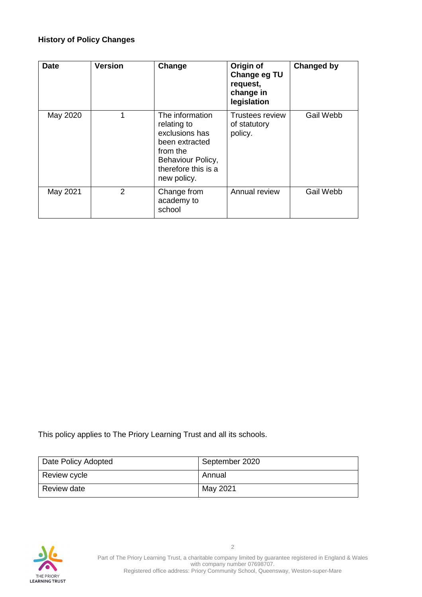# **History of Policy Changes**

| <b>Date</b> | <b>Version</b> | Change                                                                                                                                    | Origin of<br>Change eg TU<br>request,<br>change in<br>legislation | Changed by |
|-------------|----------------|-------------------------------------------------------------------------------------------------------------------------------------------|-------------------------------------------------------------------|------------|
| May 2020    | 1              | The information<br>relating to<br>exclusions has<br>been extracted<br>from the<br>Behaviour Policy,<br>therefore this is a<br>new policy. | Trustees review<br>of statutory<br>policy.                        | Gail Webb  |
| May 2021    | 2              | Change from<br>academy to<br>school                                                                                                       | Annual review                                                     | Gail Webb  |

This policy applies to The Priory Learning Trust and all its schools.

| Date Policy Adopted | September 2020 |
|---------------------|----------------|
| Review cycle        | Annual         |
| Review date         | May 2021       |

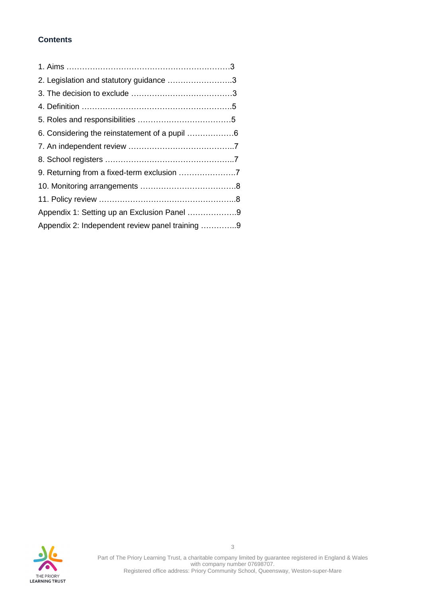# **Contents**

| 2. Legislation and statutory guidance 3         |  |
|-------------------------------------------------|--|
|                                                 |  |
|                                                 |  |
|                                                 |  |
|                                                 |  |
|                                                 |  |
|                                                 |  |
|                                                 |  |
|                                                 |  |
|                                                 |  |
| Appendix 1: Setting up an Exclusion Panel 9     |  |
| Appendix 2: Independent review panel training 9 |  |

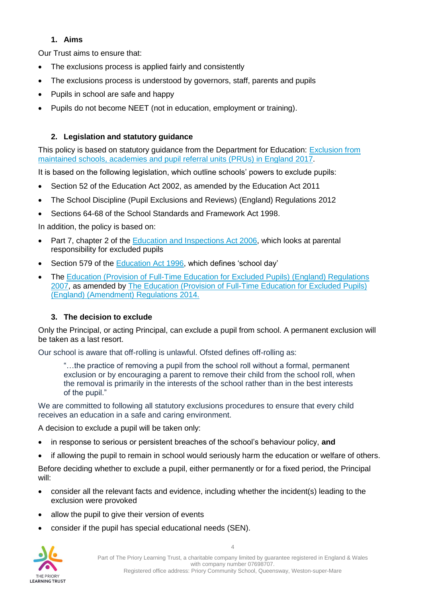# **1. Aims**

Our Trust aims to ensure that:

- The exclusions process is applied fairly and consistently
- The exclusions process is understood by governors, staff, parents and pupils
- Pupils in school are safe and happy
- Pupils do not become NEET (not in education, employment or training).

# **2. Legislation and statutory guidance**

This policy is based on statutory guidance from the Department for Education: [Exclusion from](https://www.gov.uk/government/publications/school-exclusion)  [maintained schools, academies and pupil referral units \(PRUs\) in England](https://www.gov.uk/government/publications/school-exclusion) 2017.

It is based on the following legislation, which outline schools' powers to exclude pupils:

- Section 52 of the [Education Act 2002,](http://www.legislation.gov.uk/ukpga/2002/32/section/52) as amended by the [Education Act 2011](http://www.legislation.gov.uk/ukpga/2011/21/contents/enacted)
- [The School Discipline \(Pupil Exclusions and Reviews\) \(England\) Regulations 2012](http://www.legislation.gov.uk/uksi/2012/1033/made)
- Sections 64-68 of the [School Standards and Framework Act 1998.](http://www.legislation.gov.uk/ukpga/1998/31)

In addition, the policy is based on:

- Part 7, chapter 2 of the [Education and Inspections Act 2006,](http://www.legislation.gov.uk/ukpga/2006/40/part/7/chapter/2) which looks at parental responsibility for excluded pupils
- Section 579 of the [Education Act 1996,](http://www.legislation.gov.uk/ukpga/1996/56/section/579) which defines 'school day'
- The [Education \(Provision of Full-Time Education for Excluded Pupils\) \(England\) Regulations](http://www.legislation.gov.uk/uksi/2007/1870/contents/made)  [2007,](http://www.legislation.gov.uk/uksi/2007/1870/contents/made) as amended by [The Education \(Provision of Full-Time Education for Excluded Pupils\)](http://www.legislation.gov.uk/uksi/2014/3216/contents/made)  [\(England\) \(Amendment\) Regulations 2014.](http://www.legislation.gov.uk/uksi/2014/3216/contents/made)

# **3. The decision to exclude**

Only the Principal, or acting Principal, can exclude a pupil from school. A permanent exclusion will be taken as a last resort.

Our school is aware that off-rolling is unlawful. Ofsted defines off-rolling as:

"…the practice of removing a pupil from the school roll without a formal, permanent exclusion or by encouraging a parent to remove their child from the school roll, when the removal is primarily in the interests of the school rather than in the best interests of the pupil."

We are committed to following all statutory exclusions procedures to ensure that every child receives an education in a safe and caring environment.

A decision to exclude a pupil will be taken only:

- in response to serious or persistent breaches of the school's behaviour policy, **and**
- if allowing the pupil to remain in school would seriously harm the education or welfare of others.

Before deciding whether to exclude a pupil, either permanently or for a fixed period, the Principal will:

- consider all the relevant facts and evidence, including whether the incident(s) leading to the exclusion were provoked
- allow the pupil to give their version of events
- consider if the pupil has special educational needs (SEN).

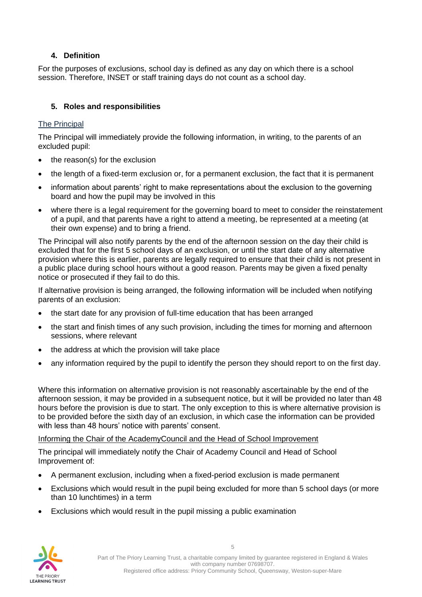# **4. Definition**

For the purposes of exclusions, school day is defined as any day on which there is a school session. Therefore, INSET or staff training days do not count as a school day.

# **5. Roles and responsibilities**

# The Principal

The Principal will immediately provide the following information, in writing, to the parents of an excluded pupil:

- the reason(s) for the exclusion
- the length of a fixed-term exclusion or, for a permanent exclusion, the fact that it is permanent
- information about parents' right to make representations about the exclusion to the governing board and how the pupil may be involved in this
- where there is a legal requirement for the governing board to meet to consider the reinstatement of a pupil, and that parents have a right to attend a meeting, be represented at a meeting (at their own expense) and to bring a friend.

The Principal will also notify parents by the end of the afternoon session on the day their child is excluded that for the first 5 school days of an exclusion, or until the start date of any alternative provision where this is earlier, parents are legally required to ensure that their child is not present in a public place during school hours without a good reason. Parents may be given a fixed penalty notice or prosecuted if they fail to do this.

If alternative provision is being arranged, the following information will be included when notifying parents of an exclusion:

- the start date for any provision of full-time education that has been arranged
- the start and finish times of any such provision, including the times for morning and afternoon sessions, where relevant
- the address at which the provision will take place
- any information required by the pupil to identify the person they should report to on the first day.

Where this information on alternative provision is not reasonably ascertainable by the end of the afternoon session, it may be provided in a subsequent notice, but it will be provided no later than 48 hours before the provision is due to start. The only exception to this is where alternative provision is to be provided before the sixth day of an exclusion, in which case the information can be provided with less than 48 hours' notice with parents' consent.

Informing the Chair of the AcademyCouncil and the Head of School Improvement

The principal will immediately notify the Chair of Academy Council and Head of School Improvement of:

- A permanent exclusion, including when a fixed-period exclusion is made permanent
- Exclusions which would result in the pupil being excluded for more than 5 school days (or more than 10 lunchtimes) in a term
- Exclusions which would result in the pupil missing a public examination

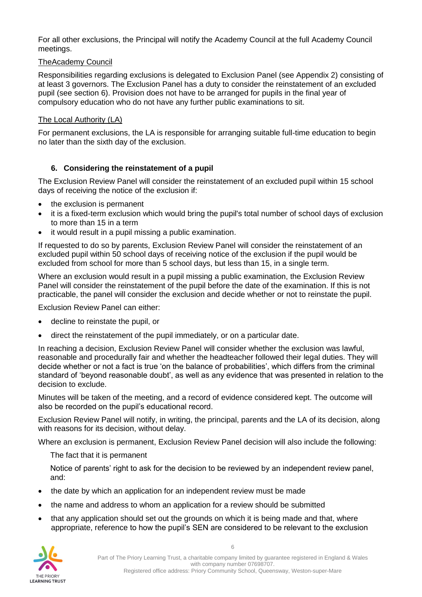For all other exclusions, the Principal will notify the Academy Council at the full Academy Council meetings.

#### TheAcademy Council

Responsibilities regarding exclusions is delegated to Exclusion Panel (see Appendix 2) consisting of at least 3 governors. The Exclusion Panel has a duty to consider the reinstatement of an excluded pupil (see section 6). Provision does not have to be arranged for pupils in the final year of compulsory education who do not have any further public examinations to sit.

#### The Local Authority (LA)

For permanent exclusions, the LA is responsible for arranging suitable full-time education to begin no later than the sixth day of the exclusion.

# **6. Considering the reinstatement of a pupil**

The Exclusion Review Panel will consider the reinstatement of an excluded pupil within 15 school days of receiving the notice of the exclusion if:

- the exclusion is permanent
- it is a fixed-term exclusion which would bring the pupil's total number of school days of exclusion to more than 15 in a term
- it would result in a pupil missing a public examination.

If requested to do so by parents, Exclusion Review Panel will consider the reinstatement of an excluded pupil within 50 school days of receiving notice of the exclusion if the pupil would be excluded from school for more than 5 school days, but less than 15, in a single term.

Where an exclusion would result in a pupil missing a public examination, the Exclusion Review Panel will consider the reinstatement of the pupil before the date of the examination. If this is not practicable, the panel will consider the exclusion and decide whether or not to reinstate the pupil.

Exclusion Review Panel can either:

- decline to reinstate the pupil, or
- direct the reinstatement of the pupil immediately, or on a particular date.

In reaching a decision, Exclusion Review Panel will consider whether the exclusion was lawful, reasonable and procedurally fair and whether the headteacher followed their legal duties. They will decide whether or not a fact is true 'on the balance of probabilities', which differs from the criminal standard of 'beyond reasonable doubt', as well as any evidence that was presented in relation to the decision to exclude.

Minutes will be taken of the meeting, and a record of evidence considered kept. The outcome will also be recorded on the pupil's educational record.

Exclusion Review Panel will notify, in writing, the principal, parents and the LA of its decision, along with reasons for its decision, without delay.

Where an exclusion is permanent, Exclusion Review Panel decision will also include the following:

The fact that it is permanent

Notice of parents' right to ask for the decision to be reviewed by an independent review panel, and:

- the date by which an application for an independent review must be made
- the name and address to whom an application for a review should be submitted
- that any application should set out the grounds on which it is being made and that, where appropriate, reference to how the pupil's SEN are considered to be relevant to the exclusion

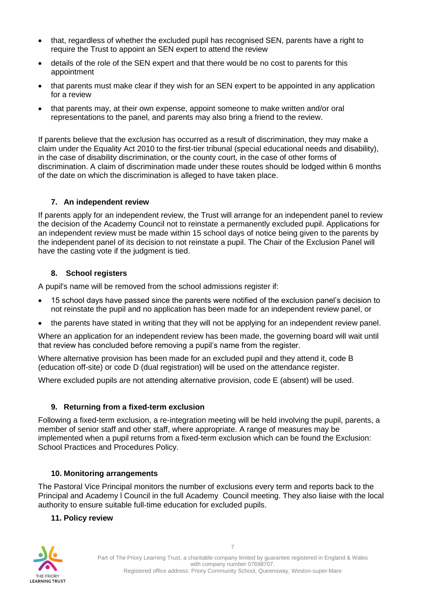- that, regardless of whether the excluded pupil has recognised SEN, parents have a right to require the Trust to appoint an SEN expert to attend the review
- details of the role of the SEN expert and that there would be no cost to parents for this appointment
- that parents must make clear if they wish for an SEN expert to be appointed in any application for a review
- that parents may, at their own expense, appoint someone to make written and/or oral representations to the panel, and parents may also bring a friend to the review.

If parents believe that the exclusion has occurred as a result of discrimination, they may make a claim under the Equality Act 2010 to the first-tier tribunal (special educational needs and disability), in the case of disability discrimination, or the county court, in the case of other forms of discrimination. A claim of discrimination made under these routes should be lodged within 6 months of the date on which the discrimination is alleged to have taken place.

# **7. An independent review**

If parents apply for an independent review, the Trust will arrange for an independent panel to review the decision of the Academy Council not to reinstate a permanently excluded pupil. Applications for an independent review must be made within 15 school days of notice being given to the parents by the independent panel of its decision to not reinstate a pupil. The Chair of the Exclusion Panel will have the casting vote if the judgment is tied.

#### **8. School registers**

A pupil's name will be removed from the school admissions register if:

- 15 school days have passed since the parents were notified of the exclusion panel's decision to not reinstate the pupil and no application has been made for an independent review panel, or
- the parents have stated in writing that they will not be applying for an independent review panel.

Where an application for an independent review has been made, the governing board will wait until that review has concluded before removing a pupil's name from the register.

Where alternative provision has been made for an excluded pupil and they attend it, code B (education off-site) or code D (dual registration) will be used on the attendance register.

Where excluded pupils are not attending alternative provision, code E (absent) will be used.

#### **9. Returning from a fixed-term exclusion**

Following a fixed-term exclusion, a re-integration meeting will be held involving the pupil, parents, a member of senior staff and other staff, where appropriate. A range of measures may be implemented when a pupil returns from a fixed-term exclusion which can be found the Exclusion: School Practices and Procedures Policy.

#### **10. Monitoring arrangements**

The Pastoral Vice Principal monitors the number of exclusions every term and reports back to the Principal and Academy l Council in the full Academy Council meeting. They also liaise with the local authority to ensure suitable full-time education for excluded pupils.

#### **11. Policy review**

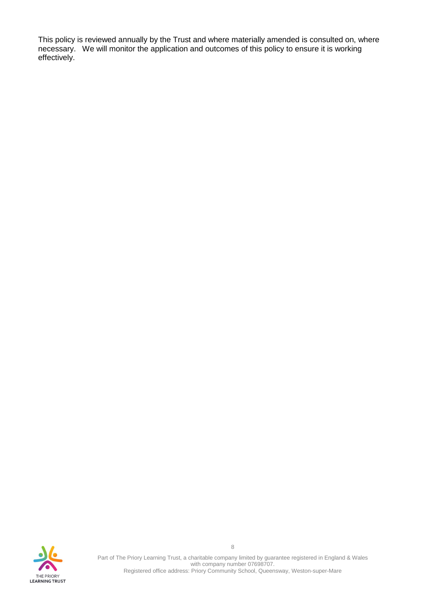This policy is reviewed annually by the Trust and where materially amended is consulted on, where necessary. We will monitor the application and outcomes of this policy to ensure it is working effectively.



Part of The Priory Learning Trust, a charitable company limited by guarantee registered in England & Wales with company number 07698707. Registered office address: Priory Community School, Queensway, Weston-super-Mare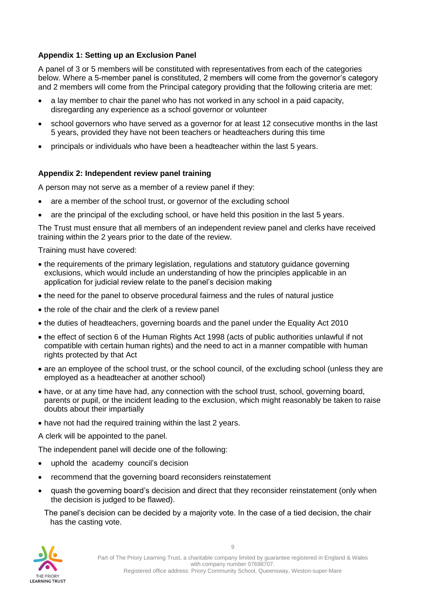# **Appendix 1: Setting up an Exclusion Panel**

A panel of 3 or 5 members will be constituted with representatives from each of the categories below. Where a 5-member panel is constituted, 2 members will come from the governor's category and 2 members will come from the Principal category providing that the following criteria are met:

- a lay member to chair the panel who has not worked in any school in a paid capacity, disregarding any experience as a school governor or volunteer
- school governors who have served as a governor for at least 12 consecutive months in the last 5 years, provided they have not been teachers or headteachers during this time
- principals or individuals who have been a headteacher within the last 5 years.

# **Appendix 2: Independent review panel training**

A person may not serve as a member of a review panel if they:

- are a member of the school trust, or governor of the excluding school
- are the principal of the excluding school, or have held this position in the last 5 years.

The Trust must ensure that all members of an independent review panel and clerks have received training within the 2 years prior to the date of the review.

Training must have covered:

- the requirements of the primary legislation, regulations and statutory guidance governing exclusions, which would include an understanding of how the principles applicable in an application for judicial review relate to the panel's decision making
- the need for the panel to observe procedural fairness and the rules of natural justice
- the role of the chair and the clerk of a review panel
- the duties of headteachers, governing boards and the panel under the Equality Act 2010
- the effect of section 6 of the Human Rights Act 1998 (acts of public authorities unlawful if not compatible with certain human rights) and the need to act in a manner compatible with human rights protected by that Act
- are an employee of the school trust, or the school council, of the excluding school (unless they are employed as a headteacher at another school)
- have, or at any time have had, any connection with the school trust, school, governing board, parents or pupil, or the incident leading to the exclusion, which might reasonably be taken to raise doubts about their impartially
- have not had the required training within the last 2 years.

A clerk will be appointed to the panel.

The independent panel will decide one of the following:

- uphold the academy council's decision
- recommend that the governing board reconsiders reinstatement
- quash the governing board's decision and direct that they reconsider reinstatement (only when the decision is judged to be flawed).
	- The panel's decision can be decided by a majority vote. In the case of a tied decision, the chair has the casting vote.